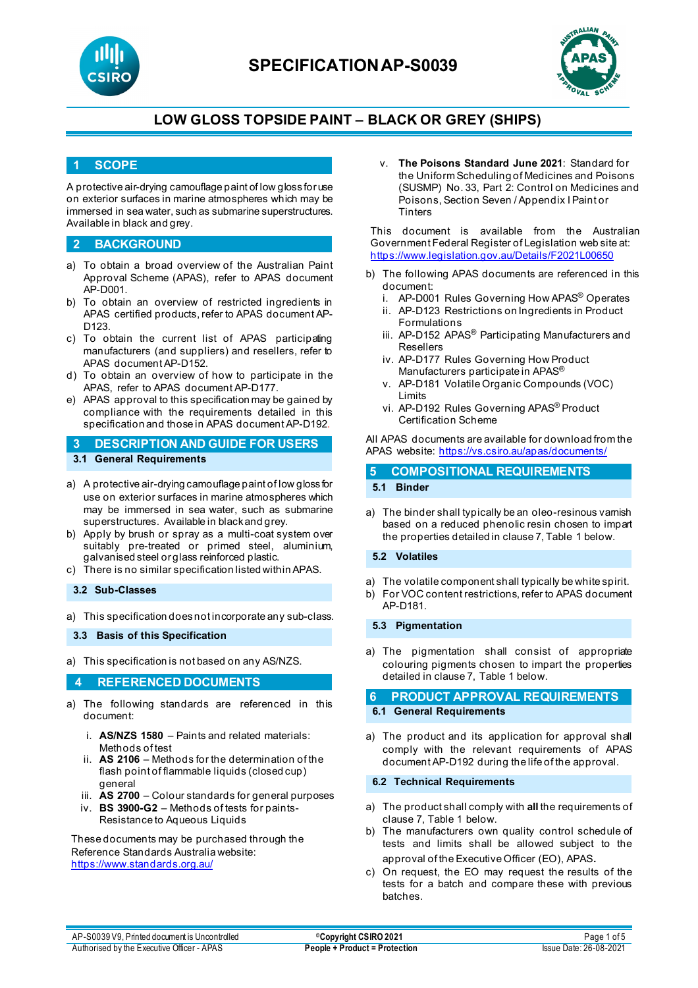



## **1 SCOPE**

A protective air-drying camouflage paint of low gloss for use on exterior surfaces in marine atmospheres which may be immersed in sea water, such as submarine superstructures. Available in black and grey.

#### **2 BACKGROUND**

- a) To obtain a broad overview of the Australian Paint Approval Scheme (APAS), refer to APAS document AP-D001.
- b) To obtain an overview of restricted ingredients in APAS certified products, refer to APAS document AP-D<sub>123</sub>
- c) To obtain the current list of APAS participating manufacturers (and suppliers) and resellers, refer to APAS document AP-D152.
- d) To obtain an overview of how to participate in the APAS, refer to APAS document AP-D177.
- e) APAS approval to this specification may be gained by compliance with the requirements detailed in this specification and those in APAS document AP-D192.
- **3 DESCRIPTION AND GUIDE FOR USERS 3.1 General Requirements**
- a) A protective air-drying camouflage paint of low gloss for use on exterior surfaces in marine atmospheres which may be immersed in sea water, such as submarine superstructures. Available in black and grey.
- b) Apply by brush or spray as a multi-coat system over suitably pre-treated or primed steel, aluminium, galvanised steel or glass reinforced plastic.
- c) There is no similar specification listed within APAS.

### **3.2 Sub-Classes**

a) This specification does not incorporate any sub-class.

**3.3 Basis of this Specification**

a) This specification is not based on any AS/NZS.

### **4 REFERENCED DOCUMENTS**

- a) The following standards are referenced in this document:
	- i. **AS/NZS 1580** Paints and related materials: Methods of test
	- ii. **AS 2106** Methods for the determination of the flash point of flammable liquids (closed cup) general
	- iii. **AS 2700** Colour standards for general purposes
	- iv. **BS 3900-G2** Methods of tests for paints-Resistance to Aqueous Liquids

These documents may be purchased through the Reference Standards Australia website: <https://www.standards.org.au/>

v. **The Poisons Standard June 2021**: Standard for the Uniform Scheduling of Medicines and Poisons (SUSMP) No. 33, Part 2: Control on Medicines and Poisons, Section Seven / Appendix I Paint or **Tinters** 

This document is available from the Australian Government Federal Register of Legislation web site at: <https://www.legislation.gov.au/Details/F2021L00650>

- b) The following APAS documents are referenced in this document:
	- i. AP-D001 Rules Governing How APAS® Operates
	- ii. AP-D123 Restrictions on Ingredients in Product Formulations
	- iii. AP-D152 APAS<sup>®</sup> Participating Manufacturers and Resellers
	- iv. AP-D177 Rules Governing How Product Manufacturers participate in APAS®
	- v. AP-D181 Volatile Organic Compounds (VOC) Limits
	- vi. AP-D192 Rules Governing APAS® Product Certification Scheme

All APAS documents are available for download from the APAS website: <https://vs.csiro.au/apas/documents/>

# **5 COMPOSITIONAL REQUIREMENTS**

## **5.1 Binder**

a) The binder shall typically be an oleo-resinous vamish based on a reduced phenolic resin chosen to impart the properties detailed in clause 7, Table 1 below.

#### **5.2 Volatiles**

- a) The volatile component shall typically be white spirit.
- b) For VOC content restrictions, refer to APAS document AP-D181.

#### **5.3 Pigmentation**

a) The pigmentation shall consist of appropriate colouring pigments chosen to impart the properties detailed in clause 7, Table 1 below.

# **6 PRODUCT APPROVAL REQUIREMENTS**

## **6.1 General Requirements**

a) The product and its application for approval shall comply with the relevant requirements of APAS document AP-D192 during the life of the approval.

#### **6.2 Technical Requirements**

- a) The product shall comply with **all** the requirements of clause 7, Table 1 below.
- b) The manufacturers own quality control schedule of tests and limits shall be allowed subject to the approval of the Executive Officer (EO), APAS.
- c) On request, the EO may request the results of the tests for a batch and compare these with previous batches.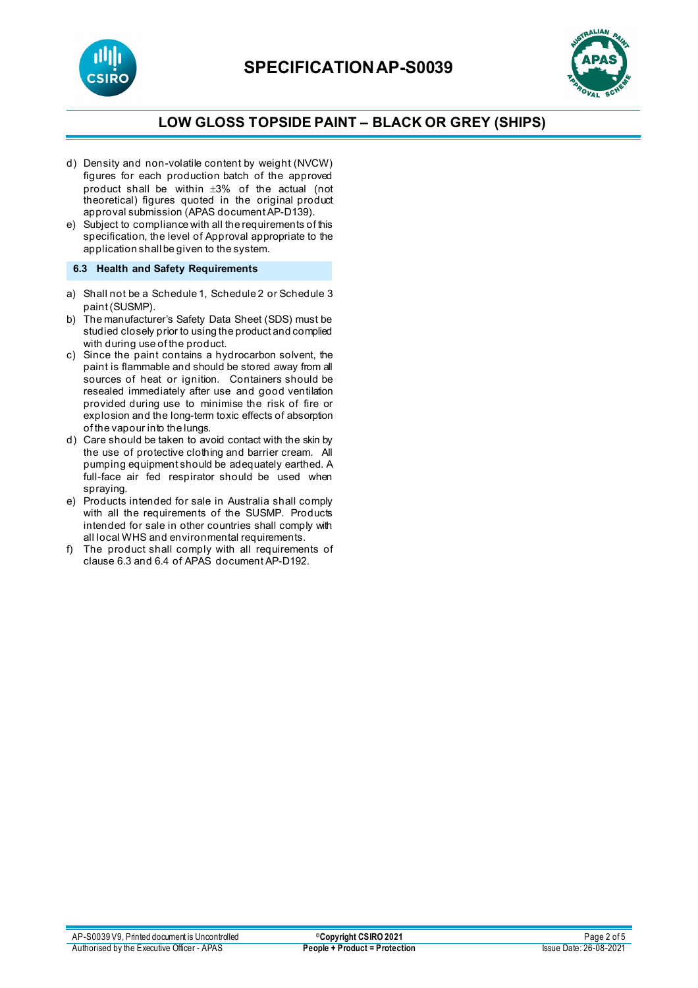



- d) Density and non-volatile content by weight (NVCW) figures for each production batch of the approved product shall be within  $\pm 3\%$  of the actual (not theoretical) figures quoted in the original product approval submission (APAS document AP-D139).
- e) Subject to compliance with all the requirements of this specification, the level of Approval appropriate to the application shall be given to the system.

### **6.3 Health and Safety Requirements**

- a) Shall not be a Schedule 1, Schedule 2 or Schedule 3 paint (SUSMP).
- b) The manufacturer's Safety Data Sheet (SDS) must be studied closely prior to using the product and complied with during use of the product.
- c) Since the paint contains a hydrocarbon solvent, the paint is flammable and should be stored away from all sources of heat or ignition. Containers should be resealed immediately after use and good ventilation provided during use to minimise the risk of fire or explosion and the long-term toxic effects of absorption of the vapour into the lungs.
- d) Care should be taken to avoid contact with the skin by the use of protective clothing and barrier cream. All pumping equipment should be adequately earthed. A full-face air fed respirator should be used when spraying.
- e) Products intended for sale in Australia shall comply with all the requirements of the SUSMP. Products intended for sale in other countries shall comply with all local WHS and environmental requirements.
- f) The product shall comply with all requirements of clause 6.3 and 6.4 of APAS document AP-D192.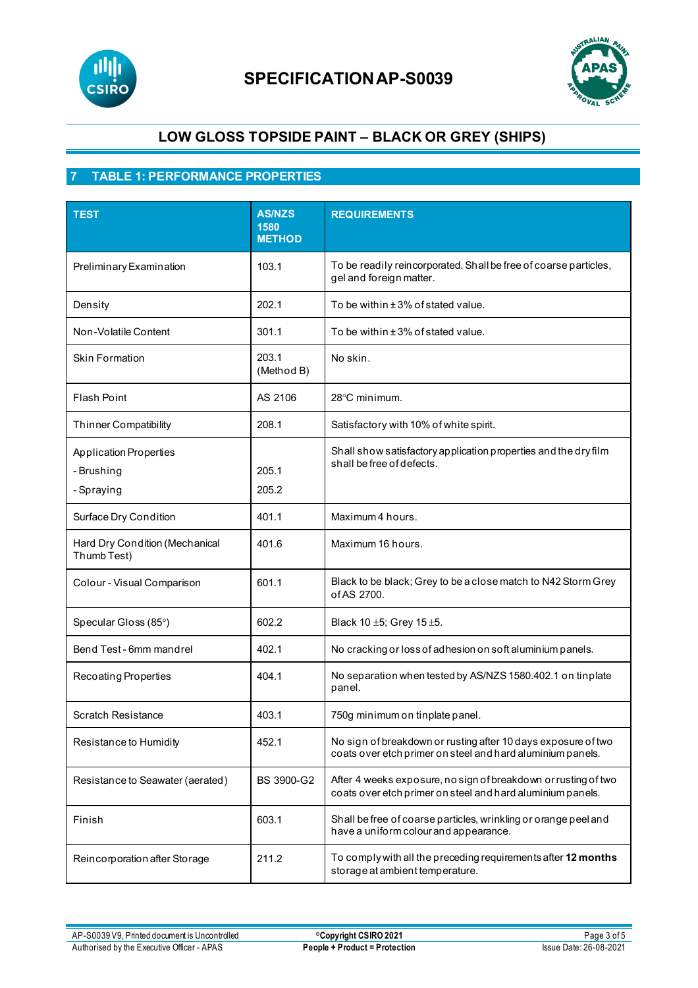



## **7 TABLE 1: PERFORMANCE PROPERTIES**

| <b>TEST</b>                                               | <b>AS/NZS</b><br>1580<br><b>METHOD</b> | <b>REQUIREMENTS</b>                                                                                                          |
|-----------------------------------------------------------|----------------------------------------|------------------------------------------------------------------------------------------------------------------------------|
| Preliminary Examination                                   | 103.1                                  | To be readily reincorporated. Shall be free of coarse particles,<br>gel and foreign matter.                                  |
| Density                                                   | 202.1                                  | To be within ± 3% of stated value.                                                                                           |
| Non-Volatile Content                                      | 301.1                                  | To be within ± 3% of stated value.                                                                                           |
| <b>Skin Formation</b>                                     | 203.1<br>(Method B)                    | No skin.                                                                                                                     |
| <b>Flash Point</b>                                        | AS 2106                                | 28°C minimum.                                                                                                                |
| <b>Thinner Compatibility</b>                              | 208.1                                  | Satisfactory with 10% of white spirit.                                                                                       |
| <b>Application Properties</b><br>- Brushing<br>- Spraying | 205.1<br>205.2                         | Shall show satisfactory application properties and the dry film<br>shall be free of defects.                                 |
| Surface Dry Condition                                     | 401.1                                  | Maximum 4 hours.                                                                                                             |
| Hard Dry Condition (Mechanical<br>Thumb Test)             | 401.6                                  | Maximum 16 hours.                                                                                                            |
| Colour - Visual Comparison                                | 601.1                                  | Black to be black; Grey to be a close match to N42 Storm Grey<br>of AS 2700.                                                 |
| Specular Gloss (85°)                                      | 602.2                                  | Black 10 ±5; Grey 15 ±5.                                                                                                     |
| Bend Test - 6mm mandrel                                   | 402.1                                  | No cracking or loss of adhesion on soft aluminium panels.                                                                    |
| Recoating Properties                                      | 404.1                                  | No separation when tested by AS/NZS 1580.402.1 on tinplate<br>panel.                                                         |
| Scratch Resistance                                        | 403.1                                  | 750g minimum on tinplate panel.                                                                                              |
| Resistance to Humidity                                    | 452.1                                  | No sign of breakdown or rusting after 10 days exposure of two<br>coats over etch primer on steel and hard aluminium panels.  |
| Resistance to Seawater (aerated)                          | BS 3900-G2                             | After 4 weeks exposure, no sign of breakdown or rusting of two<br>coats over etch primer on steel and hard aluminium panels. |
| Finish                                                    | 603.1                                  | Shall be free of coarse particles, wrinkling or orange peel and<br>have a uniform colour and appearance.                     |
| Reincorporation after Storage                             | 211.2                                  | To comply with all the preceding requirements after 12 months<br>storage at ambient temperature.                             |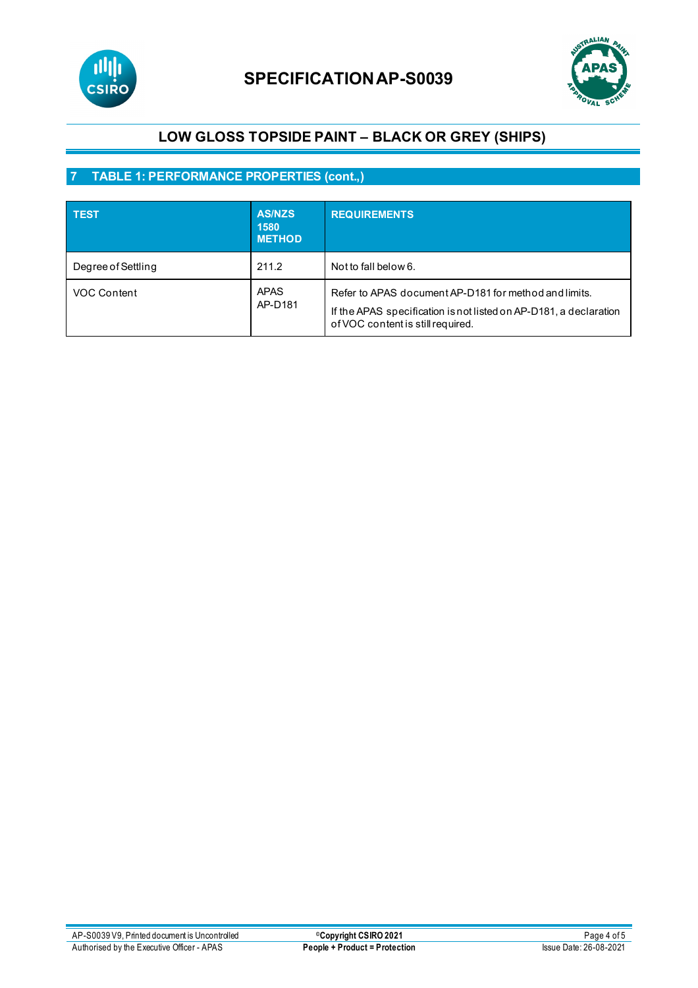



# **7 TABLE 1: PERFORMANCE PROPERTIES (cont.,)**

| <b>TEST</b>        | <b>AS/NZS</b><br>1580<br><b>METHOD</b> | <b>REQUIREMENTS</b>                                                                                                                                             |
|--------------------|----------------------------------------|-----------------------------------------------------------------------------------------------------------------------------------------------------------------|
| Degree of Settling | 211.2                                  | Not to fall below 6.                                                                                                                                            |
| VOC Content        | <b>APAS</b><br>AP-D181                 | Refer to APAS document AP-D181 for method and limits.<br>If the APAS specification is not listed on AP-D181, a declaration<br>of VOC content is still required. |